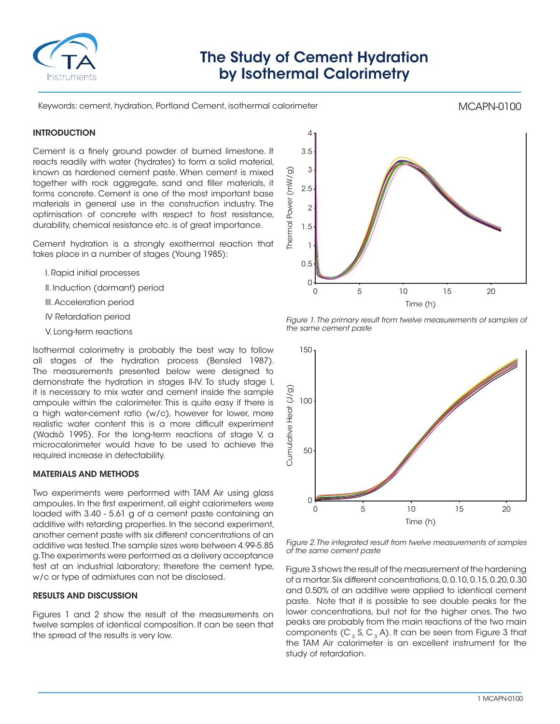

# The Study of Cement Hydration by Isothermal Calorimetry

Keywords: cement, hydration, Portland Cement, isothermal calorimeter

## MCAPN-0100

## **INTRODUCTION**

Cement is a finely ground powder of burned limestone. It reacts readily with water (hydrates) to form a solid material, known as hardened cement paste. When cement is mixed together with rock aggregate, sand and filler materials, it forms concrete. Cement is one of the most important base materials in general use in the construction industry. The optimisation of concrete with respect to frost resistance, durability, chemical resistance etc. is of great importance.

Cement hydration is a strongly exothermal reaction that takes place in a number of stages (Young 1985):

- I. Rapid initial processes
- II. Induction (dormant) period
- III. Acceleration period
- IV Retardation period
- V. Long-term reactions

Isothermal calorimetry is probably the best way to follow all stages of the hydration process (Bensled 1987). The measurements presented below were designed to demonstrate the hydration in stages II-IV. To study stage I, it is necessary to mix water and cement inside the sample ampoule within the calorimeter. This is quite easy if there is a high water-cement ratio (w/c), however for lower, more realistic water content this is a more difficult experiment (Wadsö 1995). For the long-term reactions of stage V, a microcalorimeter would have to be used to achieve the required increase in detectability.

### MATERIALS AND METHODS

Two experiments were performed with TAM Air using glass ampoules. In the first experiment, all eight calorimeters were loaded with 3.40 - 5.61 g of a cement paste containing an additive with retarding properties. In the second experiment, another cement paste with six different concentrations of an additive was tested. The sample sizes were between 4.99-5.85 g. The experiments were performed as a delivery acceptance test at an industrial laboratory; therefore the cement type, w/c or type of admixtures can not be disclosed.

### RESULTS AND DISCUSSION

Figures 1 and 2 show the result of the measurements on twelve samples of identical composition. It can be seen that the spread of the results is very low.



*Figure 1. The primary result from twelve measurements of samples of the same cement paste*



*Figure 2. The integrated result from twelve measurements of samples of the same cement paste*

Figure 3 shows the result of the measurement of the hardening of a mortar. Six different concentrations, 0, 0.10, 0.15, 0.20, 0.30 and 0.50% of an additive were applied to identical cement paste. Note that it is possible to see double peaks for the lower concentrations, but not for the higher ones. The two peaks are probably from the main reactions of the two main components (C<sub>3</sub> S, C<sub>3</sub> A). It can be seen from Figure 3 that the TAM Air calorimeter is an excellent instrument for the study of retardation.